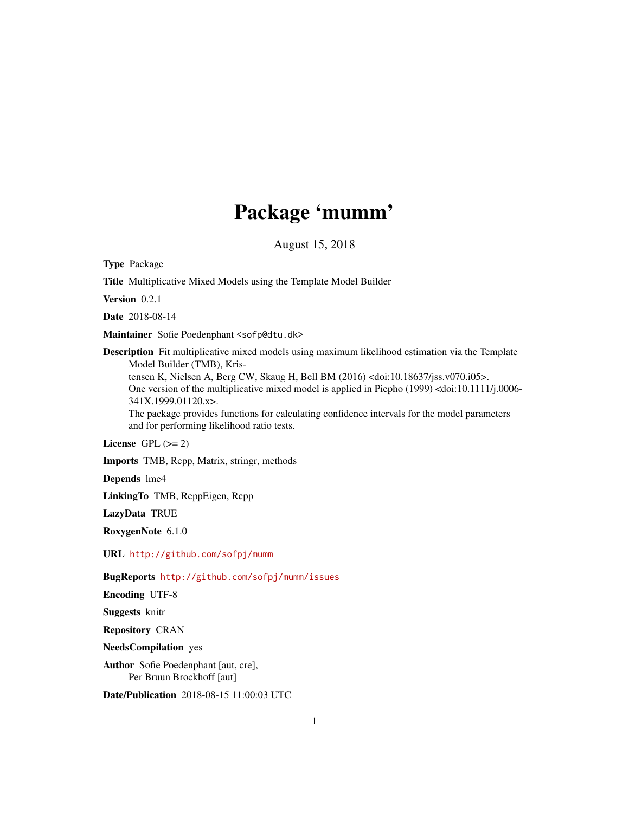## Package 'mumm'

August 15, 2018

Type Package

Title Multiplicative Mixed Models using the Template Model Builder

Version 0.2.1

Date 2018-08-14

Maintainer Sofie Poedenphant <sofp@dtu.dk>

Description Fit multiplicative mixed models using maximum likelihood estimation via the Template Model Builder (TMB), Kris-

tensen K, Nielsen A, Berg CW, Skaug H, Bell BM (2016) <doi:10.18637/jss.v070.i05>. One version of the multiplicative mixed model is applied in Piepho (1999) <doi:10.1111/j.0006-341X.1999.01120.x>.

The package provides functions for calculating confidence intervals for the model parameters and for performing likelihood ratio tests.

License GPL  $(>= 2)$ 

Imports TMB, Rcpp, Matrix, stringr, methods

Depends lme4

LinkingTo TMB, RcppEigen, Rcpp

LazyData TRUE

RoxygenNote 6.1.0

URL <http://github.com/sofpj/mumm>

BugReports <http://github.com/sofpj/mumm/issues>

Encoding UTF-8

Suggests knitr

Repository CRAN

NeedsCompilation yes

Author Sofie Poedenphant [aut, cre], Per Bruun Brockhoff [aut]

Date/Publication 2018-08-15 11:00:03 UTC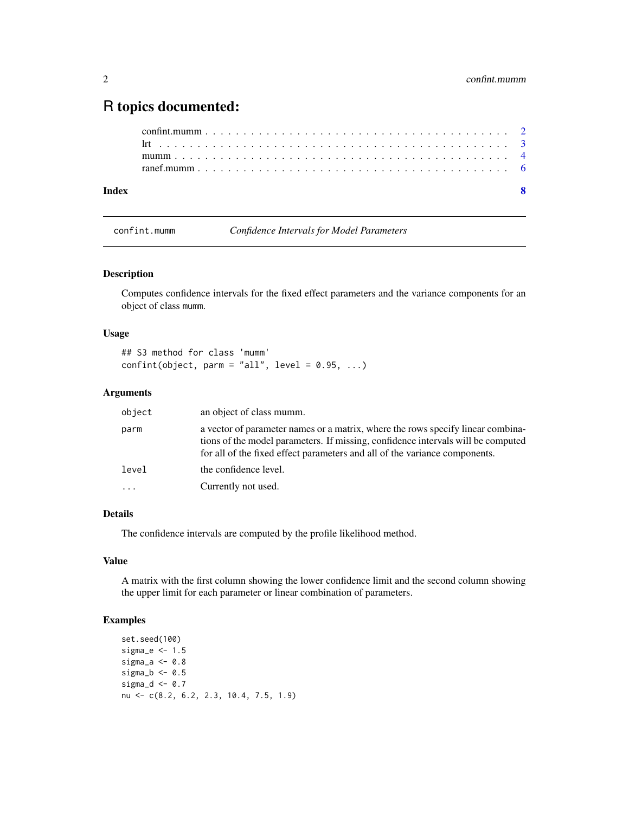### <span id="page-1-0"></span>R topics documented:

```
confint.mumm . . . . . . . . . . . . . . . . . . . . . . . . . . . . . . . . . . . . . . . . 2
       lrt . . . . . . . . . . . . . . . . . . . . . . . . . . . . . . . . . . . . . . . . . . . . . . 3
       mumm . . . . . . . . . . . . . . . . . . . . . . . . . . . . . . . . . . . . . . . . . . . . 4
       ranef.mumm . . . . . . . . . . . . . . . . . . . . . . . . . . . . . . . . . . . . . . . . . 6
Index8 8
```
confint.mumm *Confidence Intervals for Model Parameters*

#### Description

Computes confidence intervals for the fixed effect parameters and the variance components for an object of class mumm.

#### Usage

```
## S3 method for class 'mumm'
confint(object, parm = "all", level = 0.95, ...)
```
#### Arguments

| parm<br>for all of the fixed effect parameters and all of the variance components.<br>level<br>the confidence level.<br>Currently not used.<br>. | object | an object of class mumm.                                                                                                                                            |
|--------------------------------------------------------------------------------------------------------------------------------------------------|--------|---------------------------------------------------------------------------------------------------------------------------------------------------------------------|
|                                                                                                                                                  |        | a vector of parameter names or a matrix, where the rows specify linear combina-<br>tions of the model parameters. If missing, confidence intervals will be computed |
|                                                                                                                                                  |        |                                                                                                                                                                     |
|                                                                                                                                                  |        |                                                                                                                                                                     |

#### Details

The confidence intervals are computed by the profile likelihood method.

#### Value

A matrix with the first column showing the lower confidence limit and the second column showing the upper limit for each parameter or linear combination of parameters.

#### Examples

```
set.seed(100)
sigma_e <-1.5sigma_a <-0.8sigma_b < -0.5sigma_d <- 0.7
nu <- c(8.2, 6.2, 2.3, 10.4, 7.5, 1.9)
```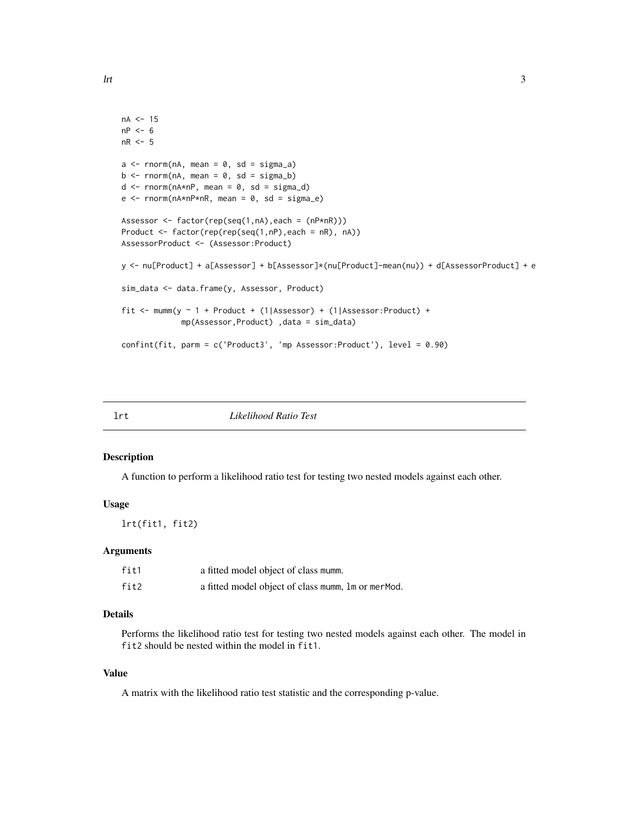```
nA < - 15nP < -6nR < -5a \leq -\text{norm}(nA, \text{mean} = 0, \text{sd} = \text{sigma}_a)b \le - rnorm(nA, mean = 0, sd = sigma_b)
d \leq -\text{norm}(nA * nP, \text{ mean } = 0, \text{ sd } = \text{sigma_d})e \le - rnorm(nA*nP*nR, mean = 0, sd = sigma_e)
Assessor <- factor(rep(seq(1,nA),each = (nP*nR)))
Product \leq factor(rep(rep(seq(1,nP),each = nR), nA))
AssessorProduct <- (Assessor:Product)
y <- nu[Product] + a[Assessor] + b[Assessor]*(nu[Product]-mean(nu)) + d[AssessorProduct] + e
sim_data <- data.frame(y, Assessor, Product)
fit <- mumm(y ~ 1 + Product + (1|Assessor) + (1|Assessor:Product) +
              mp(Assessor,Product) ,data = sim_data)
confint(fit, parm = c('Product3', 'mp Assessor:Product'), level = 0.90)
```
lrt *Likelihood Ratio Test*

#### Description

A function to perform a likelihood ratio test for testing two nested models against each other.

#### Usage

lrt(fit1, fit2)

#### Arguments

| fit1 | a fitted model object of class mumm.               |
|------|----------------------------------------------------|
| fit2 | a fitted model object of class mumm, Im or merMod. |

#### Details

Performs the likelihood ratio test for testing two nested models against each other. The model in fit2 should be nested within the model in fit1.

#### Value

A matrix with the likelihood ratio test statistic and the corresponding p-value.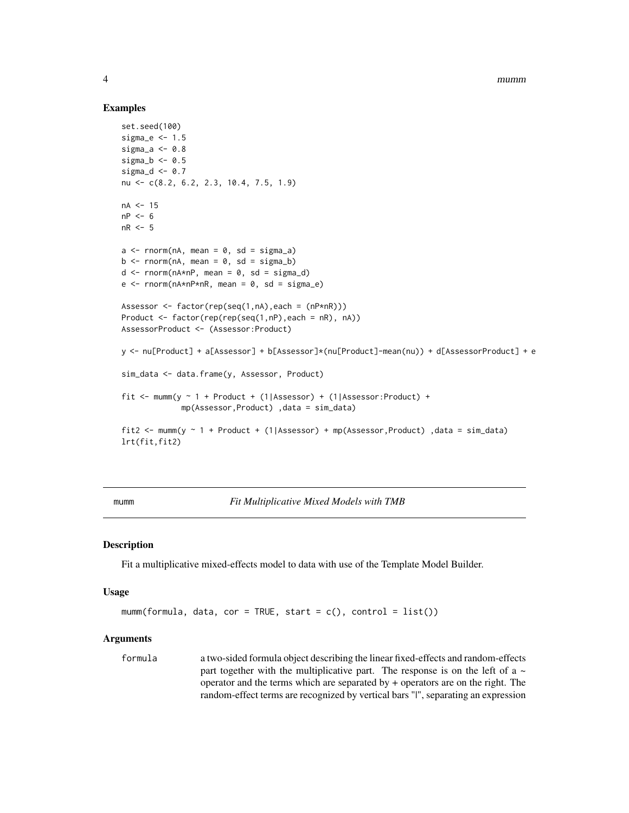#### Examples

```
set.seed(100)
sigma_e <-1.5sigma_a <- 0.8
sigma_b \le -0.5sigma_d <- 0.7
nu <- c(8.2, 6.2, 2.3, 10.4, 7.5, 1.9)
nA < -15nP \leq 6nR < -5a \leq -rnorm(nA, mean = 0, sd = sigma_a)b \leq rnorm(nA, mean = 0, sd = sigma_b)
d \leq -\text{norm}(nA \times nP, \text{ mean } = 0, \text{ sd } = \text{sigma_d})e \le - rnorm(nA*nP*nR, mean = 0, sd = sigma_e)
Assessor \leq factor(rep(seq(1,nA), each = (nP*nR)))
Product <- factor(rep(rep(seq(1,nP),each = nR), nA))
AssessorProduct <- (Assessor:Product)
y <- nu[Product] + a[Assessor] + b[Assessor]*(nu[Product]-mean(nu)) + d[AssessorProduct] + e
sim_data <- data.frame(y, Assessor, Product)
fit <- mumm(y ~ 1 + Product + (1|Assessor) + (1|Assessor:Product) +
              mp(Assessor,Product) ,data = sim_data)
fit2 <- mumm(y \sim 1 + Product + (1|Assessor) + mp(Assessor, Product), data = sim_data)
lrt(fit,fit2)
```
mumm *Fit Multiplicative Mixed Models with TMB*

#### Description

Fit a multiplicative mixed-effects model to data with use of the Template Model Builder.

#### Usage

```
mumm(formula, data, cor = TRUE, start = c(), control = list())
```
#### Arguments

formula a two-sided formula object describing the linear fixed-effects and random-effects part together with the multiplicative part. The response is on the left of a  $\sim$ operator and the terms which are separated by + operators are on the right. The random-effect terms are recognized by vertical bars "|", separating an expression

<span id="page-3-0"></span>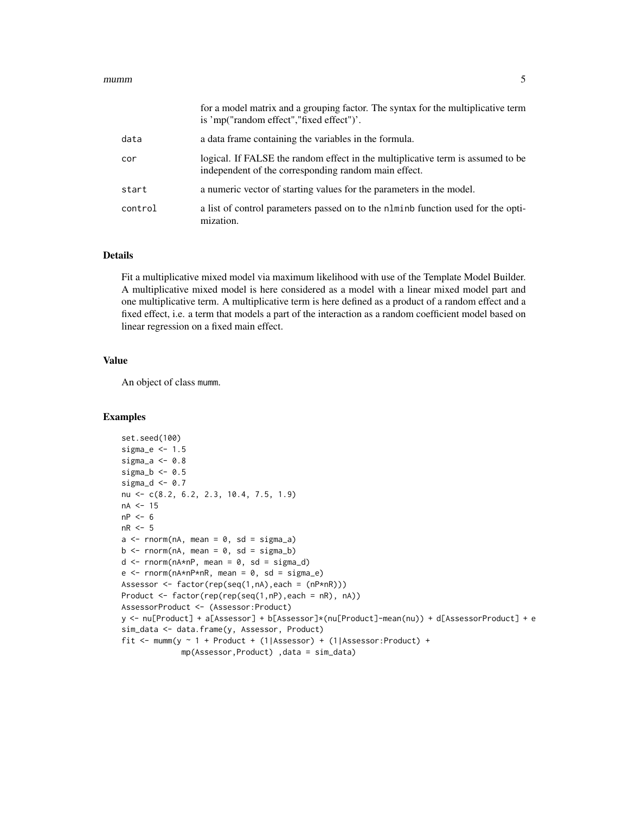#### $m$ umm 5

|         | for a model matrix and a grouping factor. The syntax for the multiplicative term<br>is 'mp("random effect","fixed effect")'.            |
|---------|-----------------------------------------------------------------------------------------------------------------------------------------|
| data    | a data frame containing the variables in the formula.                                                                                   |
| cor     | logical. If FALSE the random effect in the multiplicative term is assumed to be<br>independent of the corresponding random main effect. |
| start   | a numeric vector of starting values for the parameters in the model.                                                                    |
| control | a list of control parameters passed on to the nlminb function used for the opti-<br>mization.                                           |

#### Details

Fit a multiplicative mixed model via maximum likelihood with use of the Template Model Builder. A multiplicative mixed model is here considered as a model with a linear mixed model part and one multiplicative term. A multiplicative term is here defined as a product of a random effect and a fixed effect, i.e. a term that models a part of the interaction as a random coefficient model based on linear regression on a fixed main effect.

#### Value

An object of class mumm.

#### Examples

```
set.seed(100)
sigma_e <-1.5sigma_a <- 0.8
sigma_b \le -0.5sigma_d <- 0.7
nu <- c(8.2, 6.2, 2.3, 10.4, 7.5, 1.9)
nA < -15nP \leq 6nR < -5a \leq -rnorm(nA, mean = 0, sd = sigma_a)b \le - rnorm(nA, mean = 0, sd = sigma_b)
d \leq -\text{norm}(nA * nP, \text{ mean } = 0, \text{ sd } = \text{sigma_d})e \le - rnorm(nA*nP*nR, mean = 0, sd = sigma_e)
Assessor <- factor(rep(seq(1,nA),each = (nP*nR)))
Product \leq factor(rep(rep(seq(1,nP),each = nR), nA))
AssessorProduct <- (Assessor:Product)
y <- nu[Product] + a[Assessor] + b[Assessor]*(nu[Product]-mean(nu)) + d[AssessorProduct] + e
sim_data <- data.frame(y, Assessor, Product)
fit <- mumm(y ~ 1 + Product + (1|Assessor) + (1|Assessor:Product) +
             mp(Assessor,Product) ,data = sim_data)
```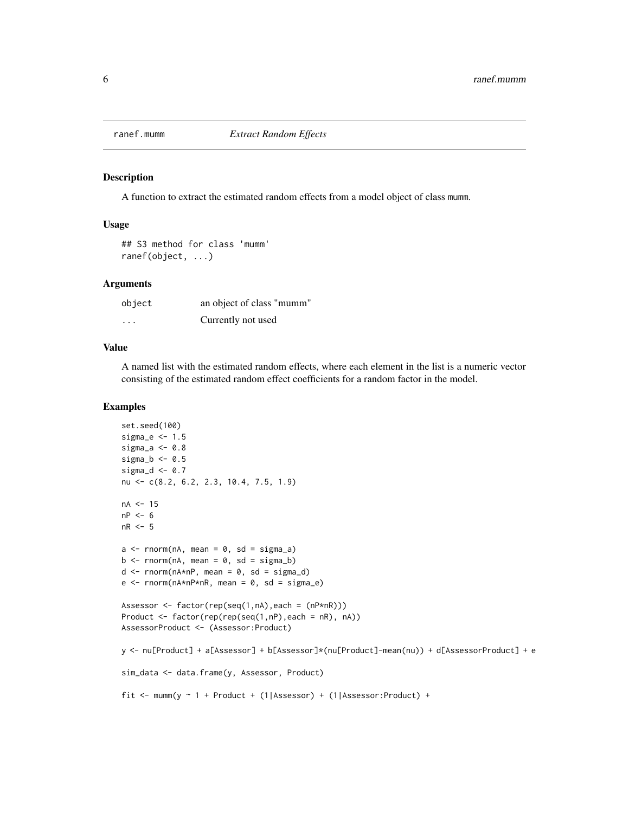<span id="page-5-0"></span>

#### Description

A function to extract the estimated random effects from a model object of class mumm.

#### Usage

```
## S3 method for class 'mumm'
ranef(object, ...)
```
#### **Arguments**

| object   | an object of class "mumm" |
|----------|---------------------------|
| $\cdots$ | Currently not used        |

#### Value

A named list with the estimated random effects, where each element in the list is a numeric vector consisting of the estimated random effect coefficients for a random factor in the model.

#### Examples

```
set.seed(100)
sigma_e <-1.5sigma_a <- 0.8
sigma_b \le -0.5sigma_d <- 0.7
nu <- c(8.2, 6.2, 2.3, 10.4, 7.5, 1.9)
nA <- 15
nP < -6nR <- 5
a \leq -\text{norm}(nA, \text{mean} = 0, \text{sd} = \text{sigma}_a)b \le - rnorm(nA, mean = 0, sd = sigma_b)
d \leq -\text{norm}(nA * nP, \text{ mean } = 0, \text{ sd } = \text{sigma_d})e \le - rnorm(nA*nP*nR, mean = 0, sd = sigma_e)
Assessor <- factor(rep(seq(1,nA),each = (nP*nR)))
Product \leq factor(rep(rep(seq(1,nP),each = nR), nA))
AssessorProduct <- (Assessor:Product)
y <- nu[Product] + a[Assessor] + b[Assessor]*(nu[Product]-mean(nu)) + d[AssessorProduct] + e
sim_data <- data.frame(y, Assessor, Product)
fit <- mumm(y ~ 1 + Product + (1|Assessor) + (1|Assessor:Product) +
```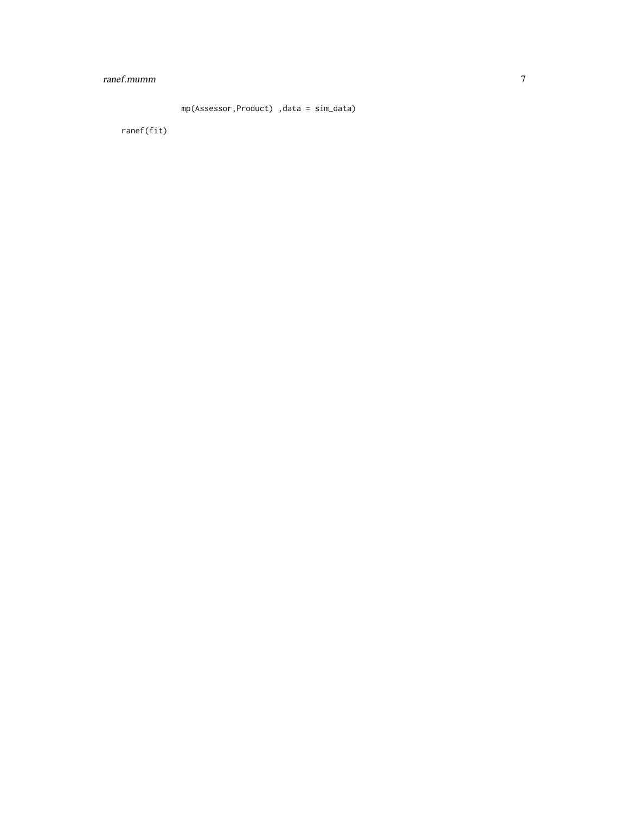#### ranef.mumm 7

mp(Assessor,Product) ,data = sim\_data)

ranef(fit)